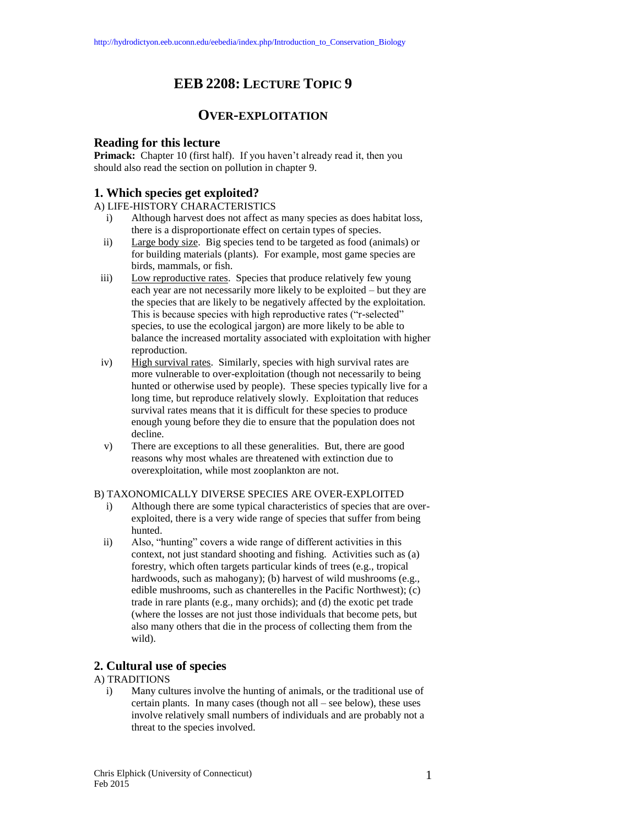# **EEB 2208: LECTURE TOPIC 9**

## **OVER-EXPLOITATION**

## **Reading for this lecture**

Primack: Chapter 10 (first half). If you haven't already read it, then you should also read the section on pollution in chapter 9.

## **1. Which species get exploited?**

A) LIFE-HISTORY CHARACTERISTICS

- i) Although harvest does not affect as many species as does habitat loss, there is a disproportionate effect on certain types of species.
- ii) Large body size. Big species tend to be targeted as food (animals) or for building materials (plants). For example, most game species are birds, mammals, or fish.
- iii) Low reproductive rates. Species that produce relatively few young each year are not necessarily more likely to be exploited – but they are the species that are likely to be negatively affected by the exploitation. This is because species with high reproductive rates ("r-selected" species, to use the ecological jargon) are more likely to be able to balance the increased mortality associated with exploitation with higher reproduction.
- iv) High survival rates. Similarly, species with high survival rates are more vulnerable to over-exploitation (though not necessarily to being hunted or otherwise used by people). These species typically live for a long time, but reproduce relatively slowly. Exploitation that reduces survival rates means that it is difficult for these species to produce enough young before they die to ensure that the population does not decline.
- v) There are exceptions to all these generalities. But, there are good reasons why most whales are threatened with extinction due to overexploitation, while most zooplankton are not.

### B) TAXONOMICALLY DIVERSE SPECIES ARE OVER-EXPLOITED

- i) Although there are some typical characteristics of species that are overexploited, there is a very wide range of species that suffer from being hunted.
- ii) Also, "hunting" covers a wide range of different activities in this context, not just standard shooting and fishing. Activities such as (a) forestry, which often targets particular kinds of trees (e.g., tropical hardwoods, such as mahogany); (b) harvest of wild mushrooms (e.g., edible mushrooms, such as chanterelles in the Pacific Northwest); (c) trade in rare plants (e.g., many orchids); and (d) the exotic pet trade (where the losses are not just those individuals that become pets, but also many others that die in the process of collecting them from the wild).

## **2. Cultural use of species**

#### A) TRADITIONS

i) Many cultures involve the hunting of animals, or the traditional use of certain plants. In many cases (though not all – see below), these uses involve relatively small numbers of individuals and are probably not a threat to the species involved.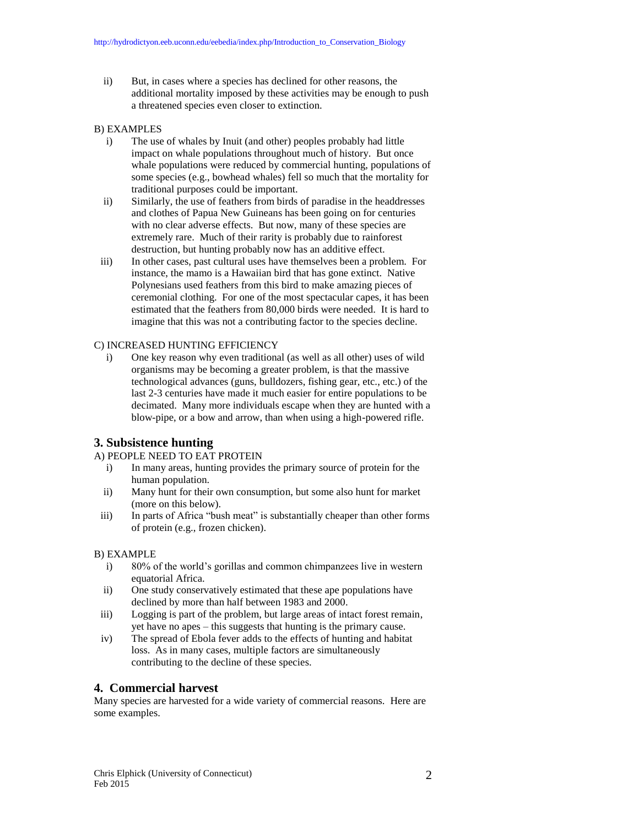ii) But, in cases where a species has declined for other reasons, the additional mortality imposed by these activities may be enough to push a threatened species even closer to extinction.

## B) EXAMPLES

- i) The use of whales by Inuit (and other) peoples probably had little impact on whale populations throughout much of history. But once whale populations were reduced by commercial hunting, populations of some species (e.g., bowhead whales) fell so much that the mortality for traditional purposes could be important.
- ii) Similarly, the use of feathers from birds of paradise in the headdresses and clothes of Papua New Guineans has been going on for centuries with no clear adverse effects. But now, many of these species are extremely rare. Much of their rarity is probably due to rainforest destruction, but hunting probably now has an additive effect.
- iii) In other cases, past cultural uses have themselves been a problem. For instance, the mamo is a Hawaiian bird that has gone extinct. Native Polynesians used feathers from this bird to make amazing pieces of ceremonial clothing. For one of the most spectacular capes, it has been estimated that the feathers from 80,000 birds were needed. It is hard to imagine that this was not a contributing factor to the species decline.

## C) INCREASED HUNTING EFFICIENCY

i) One key reason why even traditional (as well as all other) uses of wild organisms may be becoming a greater problem, is that the massive technological advances (guns, bulldozers, fishing gear, etc., etc.) of the last 2-3 centuries have made it much easier for entire populations to be decimated. Many more individuals escape when they are hunted with a blow-pipe, or a bow and arrow, than when using a high-powered rifle.

## **3. Subsistence hunting**

## A) PEOPLE NEED TO EAT PROTEIN

- i) In many areas, hunting provides the primary source of protein for the human population.
- ii) Many hunt for their own consumption, but some also hunt for market (more on this below).
- iii) In parts of Africa "bush meat" is substantially cheaper than other forms of protein (e.g., frozen chicken).

## B) EXAMPLE

- i) 80% of the world's gorillas and common chimpanzees live in western equatorial Africa.
- ii) One study conservatively estimated that these ape populations have declined by more than half between 1983 and 2000.
- iii) Logging is part of the problem, but large areas of intact forest remain, yet have no apes – this suggests that hunting is the primary cause.
- iv) The spread of Ebola fever adds to the effects of hunting and habitat loss. As in many cases, multiple factors are simultaneously contributing to the decline of these species.

## **4. Commercial harvest**

Many species are harvested for a wide variety of commercial reasons. Here are some examples.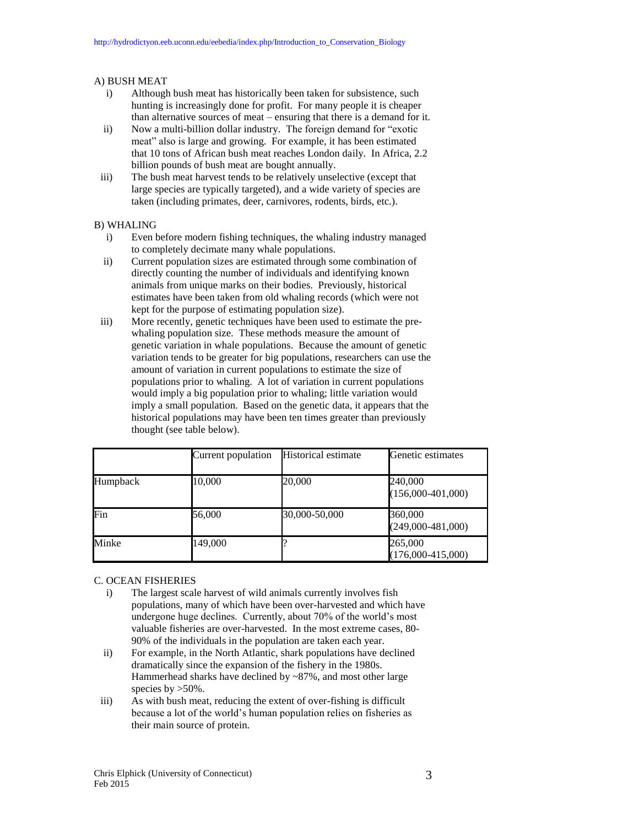### A) BUSH MEAT

- i) Although bush meat has historically been taken for subsistence, such hunting is increasingly done for profit. For many people it is cheaper than alternative sources of meat – ensuring that there is a demand for it.
- ii) Now a multi-billion dollar industry. The foreign demand for "exotic meat" also is large and growing. For example, it has been estimated that 10 tons of African bush meat reaches London daily. In Africa, 2.2 billion pounds of bush meat are bought annually.
- iii) The bush meat harvest tends to be relatively unselective (except that large species are typically targeted), and a wide variety of species are taken (including primates, deer, carnivores, rodents, birds, etc.).

#### B) WHALING

- i) Even before modern fishing techniques, the whaling industry managed to completely decimate many whale populations.
- ii) Current population sizes are estimated through some combination of directly counting the number of individuals and identifying known animals from unique marks on their bodies. Previously, historical estimates have been taken from old whaling records (which were not kept for the purpose of estimating population size).
- iii) More recently, genetic techniques have been used to estimate the prewhaling population size. These methods measure the amount of genetic variation in whale populations. Because the amount of genetic variation tends to be greater for big populations, researchers can use the amount of variation in current populations to estimate the size of populations prior to whaling. A lot of variation in current populations would imply a big population prior to whaling; little variation would imply a small population. Based on the genetic data, it appears that the historical populations may have been ten times greater than previously thought (see table below).

|          | Current population | <b>Historical estimate</b> | Genetic estimates              |
|----------|--------------------|----------------------------|--------------------------------|
| Humpback | 10,000             | 20,000                     | 240,000<br>$(156,000-401,000)$ |
| Fin      | 56,000             | 30,000-50,000              | 360,000<br>$(249,000-481,000)$ |
| Minke    | 149,000            |                            | 265,000<br>$(176,000-415,000)$ |

#### C. OCEAN FISHERIES

- i) The largest scale harvest of wild animals currently involves fish populations, many of which have been over-harvested and which have undergone huge declines. Currently, about 70% of the world's most valuable fisheries are over-harvested. In the most extreme cases, 80- 90% of the individuals in the population are taken each year.
- ii) For example, in the North Atlantic, shark populations have declined dramatically since the expansion of the fishery in the 1980s. Hammerhead sharks have declined by ~87%, and most other large species by >50%.
- iii) As with bush meat, reducing the extent of over-fishing is difficult because a lot of the world's human population relies on fisheries as their main source of protein.